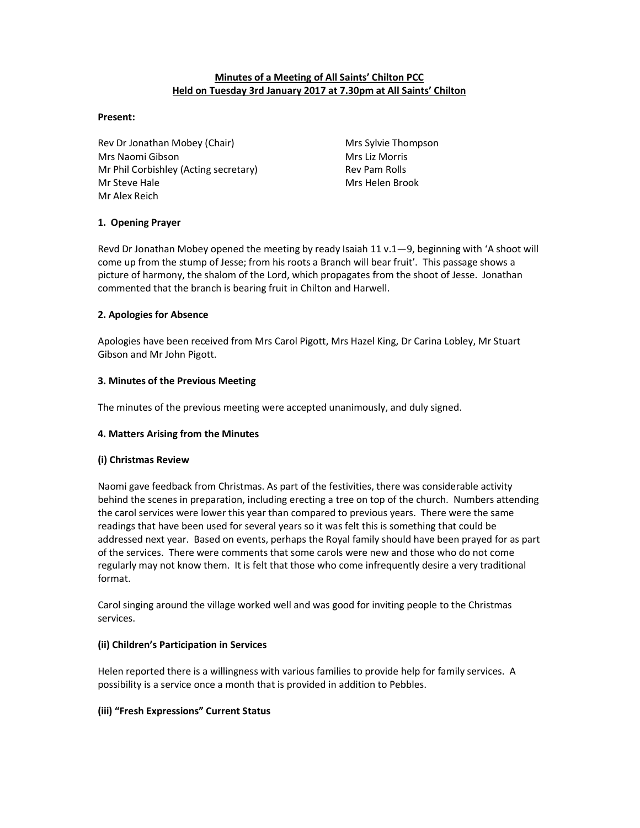# Minutes of a Meeting of All Saints' Chilton PCC Held on Tuesday 3rd January 2017 at 7.30pm at All Saints' Chilton

## Present:

Rev Dr Jonathan Mobey (Chair) Mrs Sylvie Thompson Mrs Naomi Gibson Mrs Liz Morris Mr Phil Corbishley (Acting secretary) Rev Pam Rolls Mr Steve Hale Mrs Helen Brook Mr Alex Reich

# 1. Opening Prayer

Revd Dr Jonathan Mobey opened the meeting by ready Isaiah 11 v.1—9, beginning with 'A shoot will come up from the stump of Jesse; from his roots a Branch will bear fruit'. This passage shows a picture of harmony, the shalom of the Lord, which propagates from the shoot of Jesse. Jonathan commented that the branch is bearing fruit in Chilton and Harwell.

# 2. Apologies for Absence

Apologies have been received from Mrs Carol Pigott, Mrs Hazel King, Dr Carina Lobley, Mr Stuart Gibson and Mr John Pigott.

# 3. Minutes of the Previous Meeting

The minutes of the previous meeting were accepted unanimously, and duly signed.

# 4. Matters Arising from the Minutes

# (i) Christmas Review

Naomi gave feedback from Christmas. As part of the festivities, there was considerable activity behind the scenes in preparation, including erecting a tree on top of the church. Numbers attending the carol services were lower this year than compared to previous years. There were the same readings that have been used for several years so it was felt this is something that could be addressed next year. Based on events, perhaps the Royal family should have been prayed for as part of the services. There were comments that some carols were new and those who do not come regularly may not know them. It is felt that those who come infrequently desire a very traditional format.

Carol singing around the village worked well and was good for inviting people to the Christmas services.

# (ii) Children's Participation in Services

Helen reported there is a willingness with various families to provide help for family services. A possibility is a service once a month that is provided in addition to Pebbles.

# (iii) "Fresh Expressions" Current Status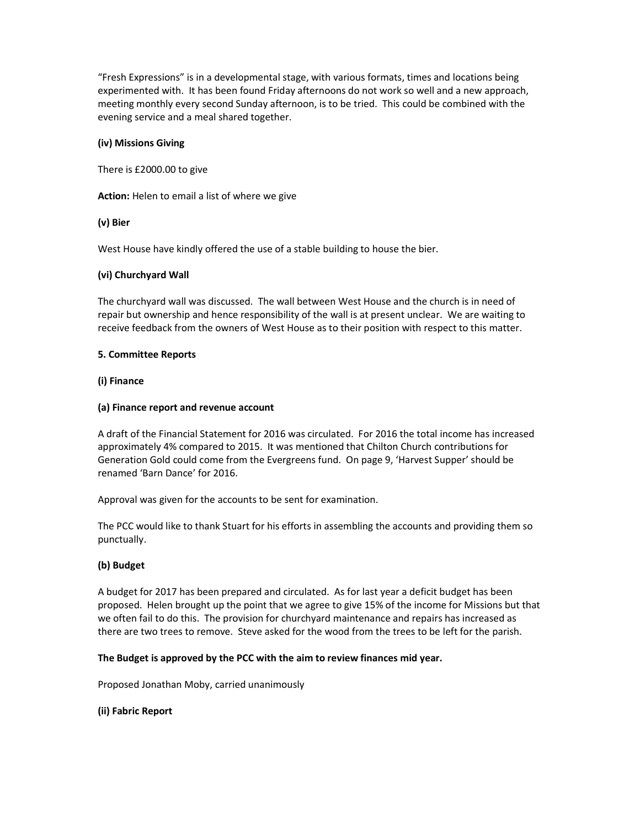"Fresh Expressions" is in a developmental stage, with various formats, times and locations being experimented with. It has been found Friday afternoons do not work so well and a new approach, meeting monthly every second Sunday afternoon, is to be tried. This could be combined with the evening service and a meal shared together.

## (iv) Missions Giving

There is £2000.00 to give

Action: Helen to email a list of where we give

## (v) Bier

West House have kindly offered the use of a stable building to house the bier.

## (vi) Churchyard Wall

The churchyard wall was discussed. The wall between West House and the church is in need of repair but ownership and hence responsibility of the wall is at present unclear. We are waiting to receive feedback from the owners of West House as to their position with respect to this matter.

#### 5. Committee Reports

#### (i) Finance

## (a) Finance report and revenue account

A draft of the Financial Statement for 2016 was circulated. For 2016 the total income has increased approximately 4% compared to 2015. It was mentioned that Chilton Church contributions for Generation Gold could come from the Evergreens fund. On page 9, 'Harvest Supper' should be renamed 'Barn Dance' for 2016.

Approval was given for the accounts to be sent for examination.

The PCC would like to thank Stuart for his efforts in assembling the accounts and providing them so punctually.

# (b) Budget

A budget for 2017 has been prepared and circulated. As for last year a deficit budget has been proposed. Helen brought up the point that we agree to give 15% of the income for Missions but that we often fail to do this. The provision for churchyard maintenance and repairs has increased as there are two trees to remove. Steve asked for the wood from the trees to be left for the parish.

#### The Budget is approved by the PCC with the aim to review finances mid year.

Proposed Jonathan Moby, carried unanimously

# (ii) Fabric Report